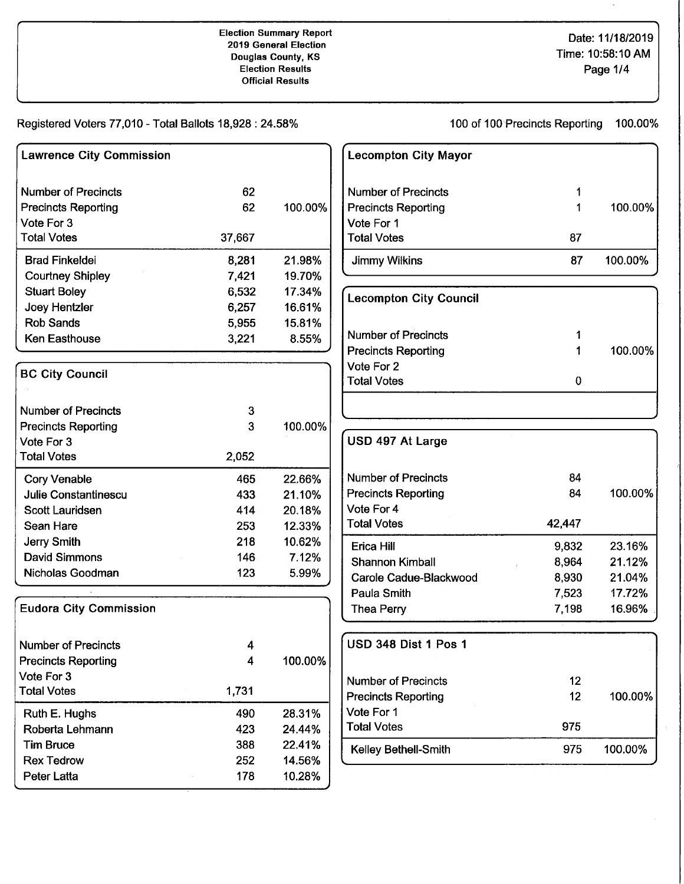### Election Summary Report 2019 General Election Douglas County, KS Election Results Official Results

# Date: 11/18/2019 Time: 10:58:10 AM Page 1/4

Registered Voters 77,010 - Total Ballots 18,928: 24.58%

100 of 100 Precincts Reporting 100.00%

| <b>Lawrence City Commission</b> |        |         |
|---------------------------------|--------|---------|
| <b>Number of Precincts</b>      | 62     |         |
| <b>Precincts Reporting</b>      | 62     | 100.00% |
| Vote For 3                      |        |         |
| <b>Total Votes</b>              | 37,667 |         |
| <b>Brad Finkeldei</b>           | 8,281  | 21.98%  |
| <b>Courtney Shipley</b>         | 7,421  | 19.70%  |
| <b>Stuart Boley</b>             | 6,532  | 17.34%  |
| Joey Hentzler                   | 6,257  | 16.61%  |
| <b>Rob Sands</b>                | 5,955  | 15.81%  |
| <b>Ken Easthouse</b>            | 3,221  | 8.55%   |
| <b>BC City Council</b>          |        |         |
| <b>Number of Precincts</b>      | 3      |         |
| <b>Precincts Reporting</b>      | 3      | 100.00% |
| Vote For 3                      |        |         |
| <b>Total Votes</b>              | 2,052  |         |
| <b>Cory Venable</b>             | 465    | 22.66%  |
| Julie Constantinescu            | 433    | 21.10%  |
| <b>Scott Lauridsen</b>          | 414    | 20.18%  |
| Sean Hare                       | 253    | 12.33%  |
| Jerry Smith                     | 218    | 10.62%  |
| <b>David Simmons</b>            | 146    | 7.12%   |
| Nicholas Goodman                | 123    | 5.99%   |
| <b>Eudora City Commission</b>   |        |         |
| <b>Number of Precincts</b>      | 4      |         |
| <b>Precincts Reporting</b>      | 4      | 100.00% |
| Vote For 3                      |        |         |
| <b>Total Votes</b>              | 1,731  |         |
| Ruth E. Hughs                   | 490    | 28.31%  |
| Roberta Lehmann                 | 423    | 24.44%  |
| <b>Tim Bruce</b>                | 388    | 22.41%  |
| <b>Rex Tedrow</b>               | 252    | 14.56%  |
| <b>Peter Latta</b>              | 178    | 10.28%  |

| <b>Lecompton City Mayor</b>   |    |         |
|-------------------------------|----|---------|
| Number of Precincts           |    |         |
| <b>Precincts Reporting</b>    |    | 100.00% |
| Vote For 1                    |    |         |
| <b>Total Votes</b>            | 87 |         |
| <b>Jimmy Wilkins</b>          | 87 | 100.00% |
| <b>Lecompton City Council</b> |    |         |
| <b>Number of Precincts</b>    |    |         |
| <b>Precincts Reporting</b>    |    | 100.00% |
|                               |    |         |
| Vote For 2                    |    |         |

| 84     |         |
|--------|---------|
| 84     | 100.00% |
|        |         |
| 42,447 |         |
| 9,832  | 23.16%  |
| 8,964  | 21.12%  |
| 8,930  | 21.04%  |
| 7,523  | 17.72%  |
| 7,198  | 16.96%  |
|        |         |

| <b>USD 348 Dist 1 Pos 1</b> |     |         |
|-----------------------------|-----|---------|
| Number of Precincts         | 12  |         |
| <b>Precincts Reporting</b>  | 12  | 100.00% |
| Vote For 1                  |     |         |
| <b>Total Votes</b>          | 975 |         |
| <b>Kelley Bethell-Smith</b> | 975 | 100.00% |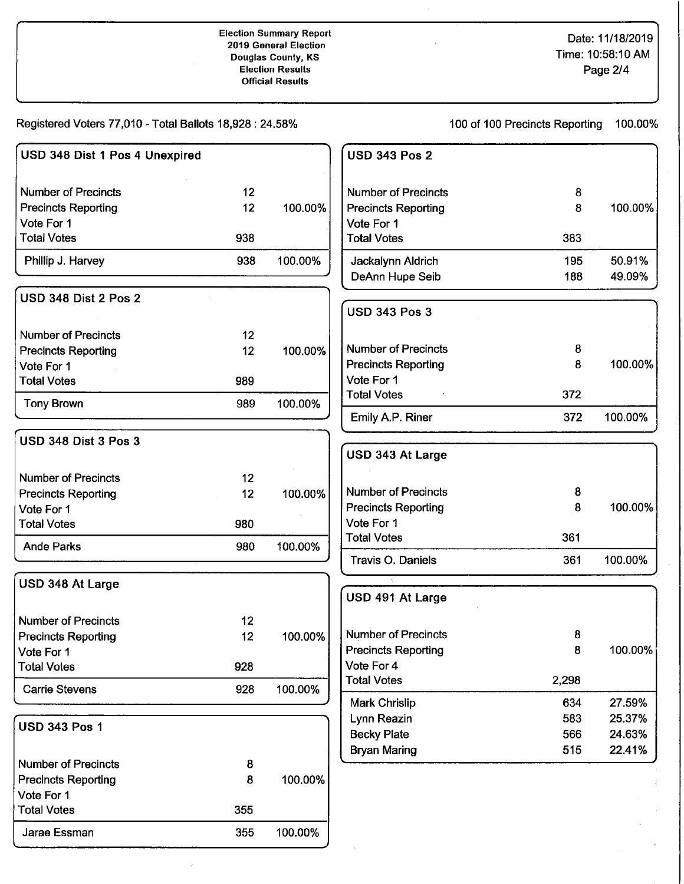### Election Summary Report 2019 General Election Douglas County, KS Election Results Official Results

# Date: 11/18/2019 Time: 10:58:10 AM Page 2/4

Registered Voters 77,010 - Total Ballots 18,928: 24.58%

100 of 100 Precincts Reporting 100.00%

| USD 348 Dist 1 Pos 4 Unexpired |                 |         | <b>USD 343 Pos 2</b>                 |            |                  |
|--------------------------------|-----------------|---------|--------------------------------------|------------|------------------|
| <b>Number of Precincts</b>     | 12              |         | <b>Number of Precincts</b>           | 8          |                  |
| <b>Precincts Reporting</b>     | 12 <sub>2</sub> | 100.00% | <b>Precincts Reporting</b>           | 8          | 100.00%          |
| Vote For 1                     |                 |         | Vote For 1                           |            |                  |
| <b>Total Votes</b>             | 938             |         | <b>Total Votes</b>                   | 383        |                  |
| Phillip J. Harvey              | 938             | 100.00% | Jackalynn Aldrich<br>DeAnn Hupe Seib | 195<br>188 | 50.91%<br>49.09% |
| <b>USD 348 Dist 2 Pos 2</b>    |                 |         | <b>USD 343 Pos 3</b>                 |            |                  |
| <b>Number of Precincts</b>     | 12 <sub>2</sub> |         |                                      |            |                  |
| <b>Precincts Reporting</b>     | 12              | 100.00% | <b>Number of Precincts</b>           | 8          |                  |
| Vote For 1                     |                 |         | <b>Precincts Reporting</b>           | 8          | 100.00%          |
| <b>Total Votes</b>             | 989             |         | Vote For 1                           |            |                  |
| <b>Tony Brown</b>              | 989             | 100.00% | <b>Total Votes</b>                   | 372        |                  |
|                                |                 |         | Emily A.P. Riner                     | 372        | 100.00%          |
| USD 348 Dist 3 Pos 3           |                 |         | USD 343 At Large                     |            |                  |
| <b>Number of Precincts</b>     | 12              |         |                                      |            |                  |
| <b>Precincts Reporting</b>     | 12              | 100.00% | <b>Number of Precincts</b>           | 8          |                  |
| Vote For 1                     |                 |         | <b>Precincts Reporting</b>           | 8          | 100.00%          |
| <b>Total Votes</b>             | 980             |         | Vote For 1                           |            |                  |
| <b>Ande Parks</b>              | 980             | 100.00% | <b>Total Votes</b>                   | 361        |                  |
|                                |                 |         | Travis O. Daniels                    | 361        | 100.00%          |
| USD 348 At Large               |                 |         | USD 491 At Large                     |            |                  |
| <b>Number of Precincts</b>     | 12              |         |                                      |            |                  |
| <b>Precincts Reporting</b>     | 12              | 100.00% | <b>Number of Precincts</b>           | 8          |                  |
| Vote For 1                     |                 |         | <b>Precincts Reporting</b>           | 8          | 100.00%          |
| <b>Total Votes</b>             | 928             |         | Vote For 4                           |            |                  |
| <b>Carrie Stevens</b>          | 928             | 100.00% | <b>Total Votes</b>                   | 2,298      |                  |
|                                |                 |         | Mark Chrislip                        | 634        | 27.59%           |
| <b>USD 343 Pos 1</b>           |                 |         | Lynn Reazin                          | 583        | 25.37%           |
|                                |                 |         | <b>Becky Plate</b>                   | 566        | 24.63%           |
|                                |                 |         | <b>Bryan Maring</b>                  | 515        | 22.41%           |
| <b>Number of Precincts</b>     | 8               |         |                                      |            |                  |
| <b>Precincts Reporting</b>     | 8               | 100.00% |                                      |            |                  |
| Vote For 1                     |                 |         |                                      |            |                  |
| <b>Total Votes</b>             | 355             |         |                                      |            |                  |
| Jarae Essman                   | 355             | 100.00% |                                      |            |                  |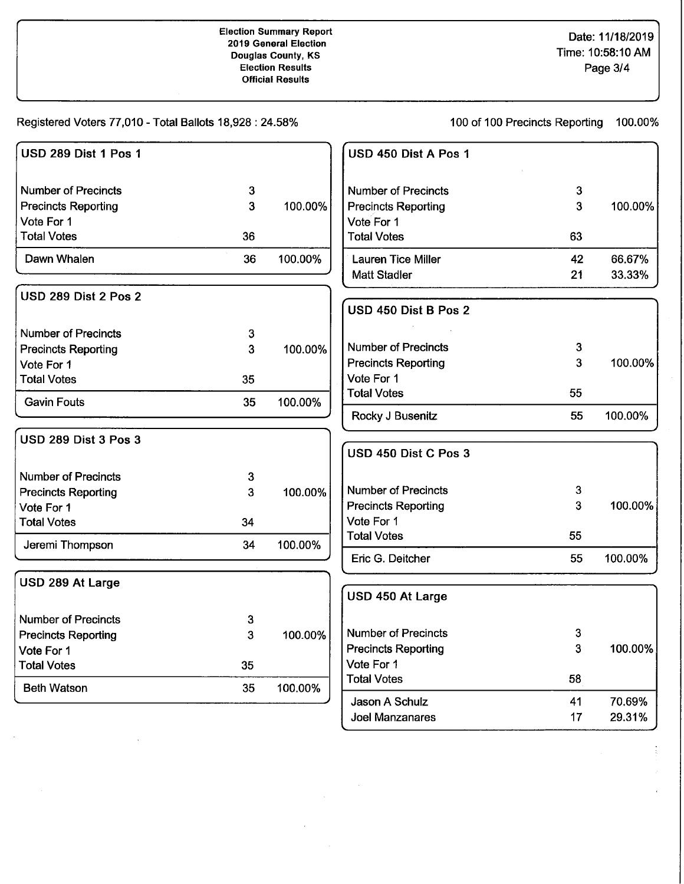Registered Voters 77,010- Total Ballots 18,928: 24.58%

 $\overline{\phantom{a}}$ 

100 of 100 Precincts Reporting 100.00%

| USD 289 Dist 1 Pos 1        |    |         | USD 450 Dist A Pos 1       |              |         |
|-----------------------------|----|---------|----------------------------|--------------|---------|
| <b>Number of Precincts</b>  | 3  |         | <b>Number of Precincts</b> | 3            |         |
| <b>Precincts Reporting</b>  | 3  | 100.00% | <b>Precincts Reporting</b> | 3            | 100.00% |
| Vote For 1                  |    |         | Vote For 1                 |              |         |
| <b>Total Votes</b>          | 36 |         | <b>Total Votes</b>         | 63           |         |
| Dawn Whalen                 | 36 | 100.00% | <b>Lauren Tice Miller</b>  | 42           | 66.67%  |
|                             |    |         | <b>Matt Stadler</b>        | 21           | 33.33%  |
| USD 289 Dist 2 Pos 2        |    |         |                            |              |         |
|                             |    |         | USD 450 Dist B Pos 2       |              |         |
| <b>Number of Precincts</b>  | 3  |         |                            |              |         |
| <b>Precincts Reporting</b>  | 3  | 100.00% | <b>Number of Precincts</b> | 3            |         |
| Vote For 1                  |    |         | <b>Precincts Reporting</b> | 3            | 100.00% |
| <b>Total Votes</b>          | 35 |         | Vote For 1                 |              |         |
| <b>Gavin Fouts</b>          | 35 | 100.00% | <b>Total Votes</b>         | 55           |         |
|                             |    |         | Rocky J Busenitz           | 55           | 100.00% |
| <b>USD 289 Dist 3 Pos 3</b> |    |         |                            |              |         |
|                             |    |         | USD 450 Dist C Pos 3       |              |         |
| <b>Number of Precincts</b>  | 3  |         |                            |              |         |
| <b>Precincts Reporting</b>  | 3  | 100.00% | <b>Number of Precincts</b> | 3            |         |
| Vote For 1                  |    |         | <b>Precincts Reporting</b> | 3            | 100.00% |
| <b>Total Votes</b>          | 34 |         | Vote For 1                 |              |         |
| Jeremi Thompson             | 34 | 100.00% | <b>Total Votes</b>         | 55           |         |
|                             |    |         | Eric G. Deitcher           | 55           | 100.00% |
| USD 289 At Large            |    |         |                            |              |         |
|                             |    |         | USD 450 At Large           |              |         |
| <b>Number of Precincts</b>  | 3  |         |                            |              |         |
| <b>Precincts Reporting</b>  | 3  | 100.00% | <b>Number of Precincts</b> | 3            |         |
| Vote For 1                  |    |         | <b>Precincts Reporting</b> | $\mathbf{3}$ | 100.00% |
| <b>Total Votes</b>          | 35 |         | Vote For 1                 |              |         |
| <b>Beth Watson</b>          | 35 | 100.00% | <b>Total Votes</b>         | 58           |         |
|                             |    |         | Jason A Schulz             | 41           | 70.69%  |
|                             |    |         | Joel Manzanares            | 17           | 29.31%  |

 $\sim$ 

 $\bar{z}$